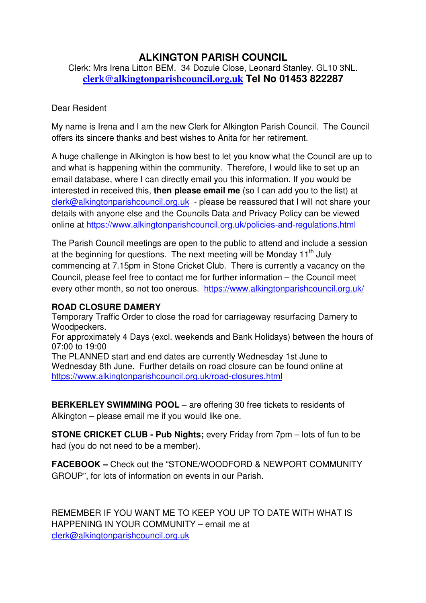## **ALKINGTON PARISH COUNCIL**

Clerk: Mrs Irena Litton BEM. 34 Dozule Close, Leonard Stanley. GL10 3NL. **clerk@alkingtonparishcouncil.org.uk Tel No 01453 822287** 

## Dear Resident

My name is Irena and I am the new Clerk for Alkington Parish Council. The Council offers its sincere thanks and best wishes to Anita for her retirement.

A huge challenge in Alkington is how best to let you know what the Council are up to and what is happening within the community. Therefore, I would like to set up an email database, where I can directly email you this information. If you would be interested in received this, **then please email me** (so I can add you to the list) at clerk@alkingtonparishcouncil.org.uk - please be reassured that I will not share your details with anyone else and the Councils Data and Privacy Policy can be viewed online at https://www.alkingtonparishcouncil.org.uk/policies-and-regulations.html

The Parish Council meetings are open to the public to attend and include a session at the beginning for questions. The next meeting will be Monday  $11<sup>th</sup>$  July commencing at 7.15pm in Stone Cricket Club. There is currently a vacancy on the Council, please feel free to contact me for further information – the Council meet every other month, so not too onerous. https://www.alkingtonparishcouncil.org.uk/

## **ROAD CLOSURE DAMERY**

Temporary Traffic Order to close the road for carriageway resurfacing Damery to Woodpeckers.

For approximately 4 Days (excl. weekends and Bank Holidays) between the hours of 07:00 to 19:00

The PLANNED start and end dates are currently Wednesday 1st June to Wednesday 8th June. Further details on road closure can be found online at https://www.alkingtonparishcouncil.org.uk/road-closures.html

**BERKERLEY SWIMMING POOL** – are offering 30 free tickets to residents of Alkington – please email me if you would like one.

**STONE CRICKET CLUB - Pub Nights;** every Friday from 7pm – lots of fun to be had (you do not need to be a member).

**FACEBOOK –** Check out the "STONE/WOODFORD & NEWPORT COMMUNITY GROUP", for lots of information on events in our Parish.

REMEMBER IF YOU WANT ME TO KEEP YOU UP TO DATE WITH WHAT IS HAPPENING IN YOUR COMMUNITY – email me at clerk@alkingtonparishcouncil.org.uk